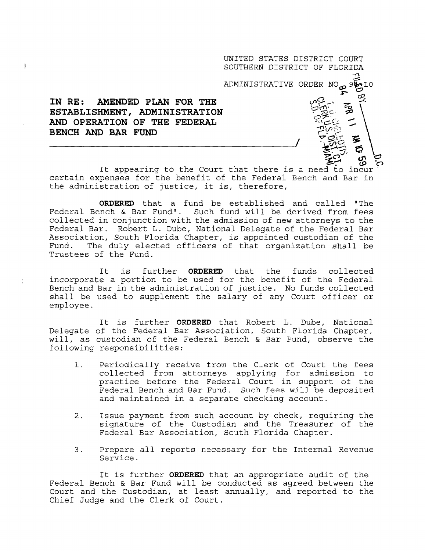UNITED STATES DISTRICT COURT SOUTHERN DISTRICT OF FLORIDA

ADMINISTRATIVE ORDER NO<sub>P</sub> 9510

بر<br>س

rgh<br>Sa **3**~`•, .n

*~*

## IN RE: AMENDED PLAN FOR THE ESTABLISHMENT, ADMINISTRATION AND OPERATION OF THE FEDERAL BENCH AND BAR FUND

 $\ddagger$ 

*•. c<sup>D</sup> 'C*) **It appearing to the Court that there is a need to incur** ' **certain expenses for the benefit of the Federal Bench and Bar in the administration of justice, it is, therefore ,**

**ORDERED** that a fund be established and called "The Federal Bench & Bar Fund". Such fund will be derived from fees collected in conjunction with the admission of new attorneys to the Federal Bar. Robert L. Dube, National Delegate of the Federal Bar Association, South Florida Chapter, is appointed custodian of the Fund. The duly elected officers of that organization shall be Trustees of the Fund.

It is further **ORDERED** that the funds collected incorporate a portion to be used for the benefit of the Federal Bench and Bar in the administration of justice . No funds collected shall be used to supplement the salary of any Court officer or employee .

It is further **ORDERED** that Robert L. Dube, National Delegate of the Federal Bar Association, South Florida Chapter, will, as custodian of the Federal Bench & Bar Fund, observe the following responsibilities :

- 1. Periodically receive from the Clerk of Court the fees collected from attorneys applying for admission to practice before the Federal Court in support of the Federal Bench and Bar Fund. Such fees will be deposited and maintained in a separate checking account .
- $2.$ Issue payment from such account by check, requiring the signature of the Custodian and the Treasurer of the Federal Bar Association, South Florida Chapter .
- 3 Prepare all reports necessary for the Internal Revenue Service .

It is further **ORDERED** that an appropriate audit of the Federal Bench & Bar Fund will be conducted as agreed between the Court and the Custodian, at least annually, and reported to the Chief Judge and the Clerk of Court .